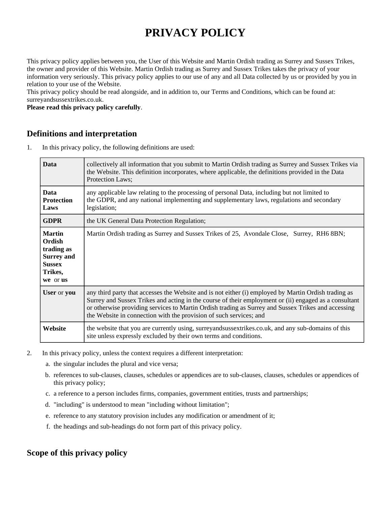# **PRIVACY POLICY**

This privacy policy applies between you, the User of this Website and Martin Ordish trading as Surrey and Sussex Trikes, the owner and provider of this Website. Martin Ordish trading as Surrey and Sussex Trikes takes the privacy of your information very seriously. This privacy policy applies to our use of any and all Data collected by us or provided by you in relation to your use of the Website.

This privacy policy should be read alongside, and in addition to, our Terms and Conditions, which can be found at: surreyandsussextrikes.co.uk.

**Please read this privacy policy carefully**.

## **Definitions and interpretation**

1. In this privacy policy, the following definitions are used:

| <b>Data</b>                                                                                        | collectively all information that you submit to Martin Ordish trading as Surrey and Sussex Trikes via<br>the Website. This definition incorporates, where applicable, the definitions provided in the Data<br>Protection Laws;                                                                                                                                                            |
|----------------------------------------------------------------------------------------------------|-------------------------------------------------------------------------------------------------------------------------------------------------------------------------------------------------------------------------------------------------------------------------------------------------------------------------------------------------------------------------------------------|
| <b>Data</b><br><b>Protection</b><br>Laws                                                           | any applicable law relating to the processing of personal Data, including but not limited to<br>the GDPR, and any national implementing and supplementary laws, regulations and secondary<br>legislation;                                                                                                                                                                                 |
| <b>GDPR</b>                                                                                        | the UK General Data Protection Regulation;                                                                                                                                                                                                                                                                                                                                                |
| <b>Martin</b><br>Ordish<br>trading as<br><b>Surrey and</b><br><b>Sussex</b><br>Trikes,<br>we or us | Martin Ordish trading as Surrey and Sussex Trikes of 25, Avondale Close, Surrey, RH6 8BN;                                                                                                                                                                                                                                                                                                 |
| <b>User or you</b>                                                                                 | any third party that accesses the Website and is not either (i) employed by Martin Ordish trading as<br>Surrey and Sussex Trikes and acting in the course of their employment or (ii) engaged as a consultant<br>or otherwise providing services to Martin Ordish trading as Surrey and Sussex Trikes and accessing<br>the Website in connection with the provision of such services; and |
| Website                                                                                            | the website that you are currently using, surreyandsussextrikes.co.uk, and any sub-domains of this<br>site unless expressly excluded by their own terms and conditions.                                                                                                                                                                                                                   |

- 2. In this privacy policy, unless the context requires a different interpretation:
	- a. the singular includes the plural and vice versa;
	- b. references to sub-clauses, clauses, schedules or appendices are to sub-clauses, clauses, schedules or appendices of this privacy policy;
	- c. a reference to a person includes firms, companies, government entities, trusts and partnerships;
	- d. "including" is understood to mean "including without limitation";
	- e. reference to any statutory provision includes any modification or amendment of it;
	- f. the headings and sub-headings do not form part of this privacy policy.

# **Scope of this privacy policy**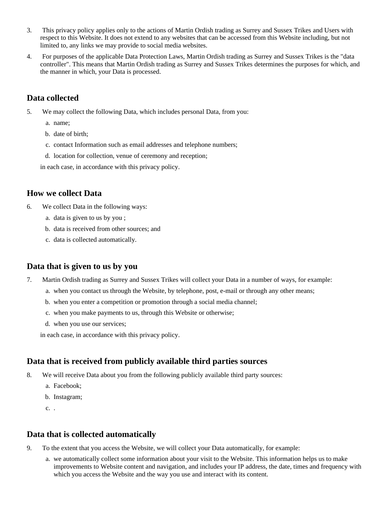- 3. This privacy policy applies only to the actions of Martin Ordish trading as Surrey and Sussex Trikes and Users with respect to this Website. It does not extend to any websites that can be accessed from this Website including, but not limited to, any links we may provide to social media websites.
- 4. For purposes of the applicable Data Protection Laws, Martin Ordish trading as Surrey and Sussex Trikes is the "data controller". This means that Martin Ordish trading as Surrey and Sussex Trikes determines the purposes for which, and the manner in which, your Data is processed.

## **Data collected**

- 5. We may collect the following Data, which includes personal Data, from you:
	- a. name;
	- b. date of birth;
	- c. contact Information such as email addresses and telephone numbers;
	- d. location for collection, venue of ceremony and reception;

in each case, in accordance with this privacy policy.

#### **How we collect Data**

- 6. We collect Data in the following ways:
	- a. data is given to us by you ;
	- b. data is received from other sources; and
	- c. data is collected automatically.

#### **Data that is given to us by you**

- 7. Martin Ordish trading as Surrey and Sussex Trikes will collect your Data in a number of ways, for example:
	- a. when you contact us through the Website, by telephone, post, e-mail or through any other means;
	- b. when you enter a competition or promotion through a social media channel;
	- c. when you make payments to us, through this Website or otherwise;
	- d. when you use our services;

in each case, in accordance with this privacy policy.

#### **Data that is received from publicly available third parties sources**

- 8. We will receive Data about you from the following publicly available third party sources:
	- a. Facebook;
	- b. Instagram;
	- c. .

#### **Data that is collected automatically**

- 9. To the extent that you access the Website, we will collect your Data automatically, for example:
	- a. we automatically collect some information about your visit to the Website. This information helps us to make improvements to Website content and navigation, and includes your IP address, the date, times and frequency with which you access the Website and the way you use and interact with its content.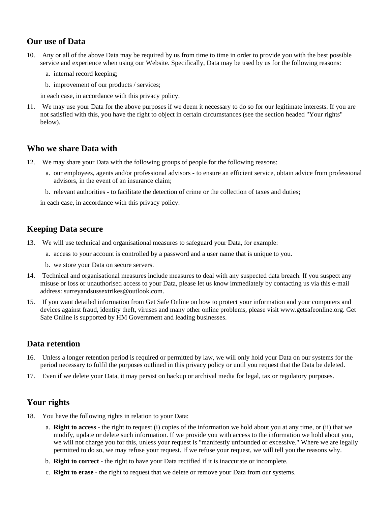# **Our use of Data**

- 10. Any or all of the above Data may be required by us from time to time in order to provide you with the best possible service and experience when using our Website. Specifically, Data may be used by us for the following reasons:
	- a. internal record keeping;
	- b. improvement of our products / services;

in each case, in accordance with this privacy policy.

11. We may use your Data for the above purposes if we deem it necessary to do so for our legitimate interests. If you are not satisfied with this, you have the right to object in certain circumstances (see the section headed "Your rights" below).

# **Who we share Data with**

- 12. We may share your Data with the following groups of people for the following reasons:
	- a. our employees, agents and/or professional advisors to ensure an efficient service, obtain advice from professional advisors, in the event of an insurance claim;
	- b. relevant authorities to facilitate the detection of crime or the collection of taxes and duties;

in each case, in accordance with this privacy policy.

## **Keeping Data secure**

- 13. We will use technical and organisational measures to safeguard your Data, for example:
	- a. access to your account is controlled by a password and a user name that is unique to you.
	- b. we store your Data on secure servers.
- 14. Technical and organisational measures include measures to deal with any suspected data breach. If you suspect any misuse or loss or unauthorised access to your Data, please let us know immediately by contacting us via this e-mail address: surreyandsussextrikes@outlook.com.
- 15. If you want detailed information from Get Safe Online on how to protect your information and your computers and devices against fraud, identity theft, viruses and many other online problems, please visit www.getsafeonline.org. Get Safe Online is supported by HM Government and leading businesses.

#### **Data retention**

- 16. Unless a longer retention period is required or permitted by law, we will only hold your Data on our systems for the period necessary to fulfil the purposes outlined in this privacy policy or until you request that the Data be deleted.
- 17. Even if we delete your Data, it may persist on backup or archival media for legal, tax or regulatory purposes.

# **Your rights**

- 18. You have the following rights in relation to your Data:
	- a. **Right to access** the right to request (i) copies of the information we hold about you at any time, or (ii) that we modify, update or delete such information. If we provide you with access to the information we hold about you, we will not charge you for this, unless your request is "manifestly unfounded or excessive." Where we are legally permitted to do so, we may refuse your request. If we refuse your request, we will tell you the reasons why.
	- b. **Right to correct** the right to have your Data rectified if it is inaccurate or incomplete.
	- c. **Right to erase** the right to request that we delete or remove your Data from our systems.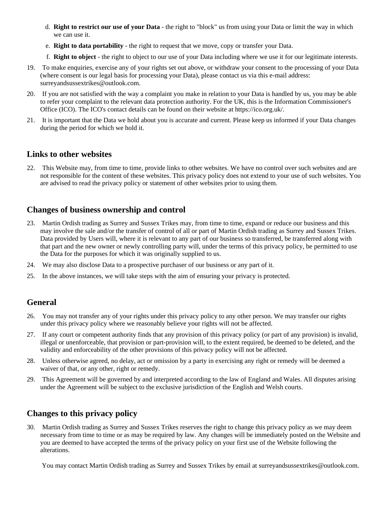- d. **Right to restrict our use of your Data** the right to "block" us from using your Data or limit the way in which we can use it.
- e. **Right to data portability** the right to request that we move, copy or transfer your Data.
- f. **Right to object** the right to object to our use of your Data including where we use it for our legitimate interests.
- 19. To make enquiries, exercise any of your rights set out above, or withdraw your consent to the processing of your Data (where consent is our legal basis for processing your Data), please contact us via this e-mail address: surreyandsussextrikes@outlook.com.
- 20. If you are not satisfied with the way a complaint you make in relation to your Data is handled by us, you may be able to refer your complaint to the relevant data protection authority. For the UK, this is the Information Commissioner's Office (ICO). The ICO's contact details can be found on their website at https://ico.org.uk/.
- 21. It is important that the Data we hold about you is accurate and current. Please keep us informed if your Data changes during the period for which we hold it.

#### **Links to other websites**

22. This Website may, from time to time, provide links to other websites. We have no control over such websites and are not responsible for the content of these websites. This privacy policy does not extend to your use of such websites. You are advised to read the privacy policy or statement of other websites prior to using them.

# **Changes of business ownership and control**

- 23. Martin Ordish trading as Surrey and Sussex Trikes may, from time to time, expand or reduce our business and this may involve the sale and/or the transfer of control of all or part of Martin Ordish trading as Surrey and Sussex Trikes. Data provided by Users will, where it is relevant to any part of our business so transferred, be transferred along with that part and the new owner or newly controlling party will, under the terms of this privacy policy, be permitted to use the Data for the purposes for which it was originally supplied to us.
- 24. We may also disclose Data to a prospective purchaser of our business or any part of it.
- 25. In the above instances, we will take steps with the aim of ensuring your privacy is protected.

# **General**

- 26. You may not transfer any of your rights under this privacy policy to any other person. We may transfer our rights under this privacy policy where we reasonably believe your rights will not be affected.
- 27. If any court or competent authority finds that any provision of this privacy policy (or part of any provision) is invalid, illegal or unenforceable, that provision or part-provision will, to the extent required, be deemed to be deleted, and the validity and enforceability of the other provisions of this privacy policy will not be affected.
- 28. Unless otherwise agreed, no delay, act or omission by a party in exercising any right or remedy will be deemed a waiver of that, or any other, right or remedy.
- 29. This Agreement will be governed by and interpreted according to the law of England and Wales. All disputes arising under the Agreement will be subject to the exclusive jurisdiction of the English and Welsh courts.

# **Changes to this privacy policy**

30. Martin Ordish trading as Surrey and Sussex Trikes reserves the right to change this privacy policy as we may deem necessary from time to time or as may be required by law. Any changes will be immediately posted on the Website and you are deemed to have accepted the terms of the privacy policy on your first use of the Website following the alterations.

You may contact Martin Ordish trading as Surrey and Sussex Trikes by email at surreyandsussextrikes@outlook.com.